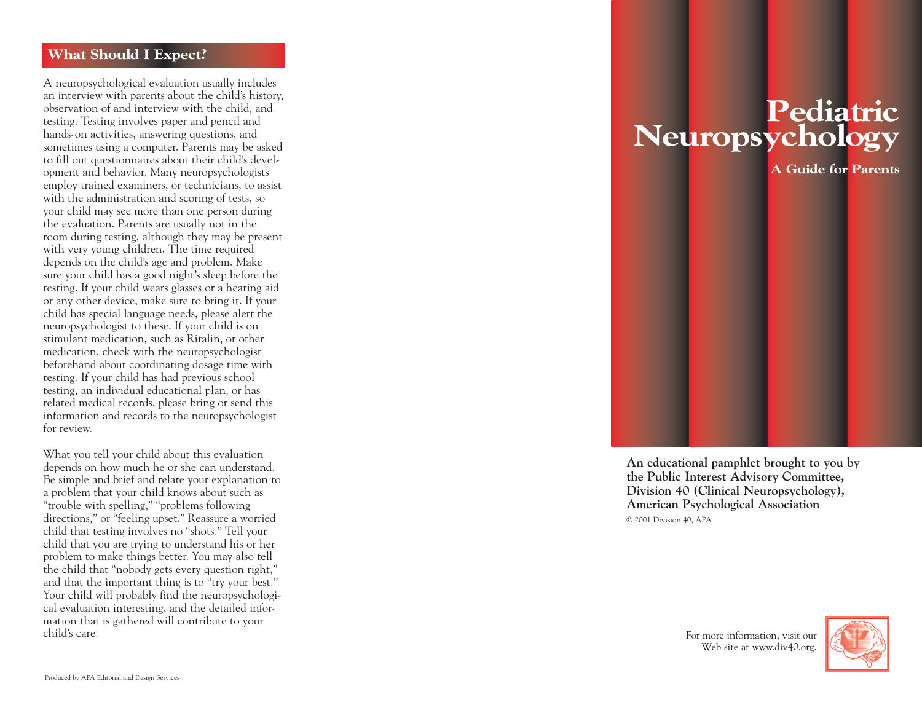#### **What Should I Expect?**

A neuropsychological evaluation usually includes an interview with parents about the child's history, observation of and interview with the child, and testing. Testing involves paper and pencil and hands-on activities, answering questions, and sometimes using a computer. Parents may be asked to fill out questionnaires about their child's development and behavior. Many neuropsychologists employ trained examiners, or technicians, to assist with the administration and scoring of tests, so your child may see more than one person during the evaluation. Parents are usually not in the room during testing, although they may be present with very young children. The time required depends on the child's age and problem. Make sure your child has a good night's sleep before the testing. If your child wears glasses or a hearing aid or any other device, make sure to bring it. If your child has special language needs, please alert the neuropsychologist to these. If your child is on stimulant medication, such as Ritalin, or other medication, check with the neuropsychologist beforehand about coordinating dosage time with testing. If your child has had previous school testing, an individual educational plan, or has related medical records, please bring or send this information and records to the neuropsychologist for review.

What you tell your child about this evaluation depends on how much he or she can understand. Be simple and brief and relate your explanation to a problem that your child knows about such as "trouble with spelling," "problems following directions," or "feeling upset." Reassure a worried child that testing involves no "shots." Tell your child that you are trying to understand his or her problem to make things better. You may also tell the child that "nobody gets every question right," and that the important thing is to "try your best." Your child will probably find the neuropsychological evaluation interesting, and the detailed information that is gathered will contribute to your child's care.

# **Pediatric Neuropsychology**

**A Guide for Parents** 



**An educational pamphlet brought to you by the Public Interest Advisory Committee, Division 40 (Clinical Neuropsychology), American Psychological Association** © 2001 Division 40, APA